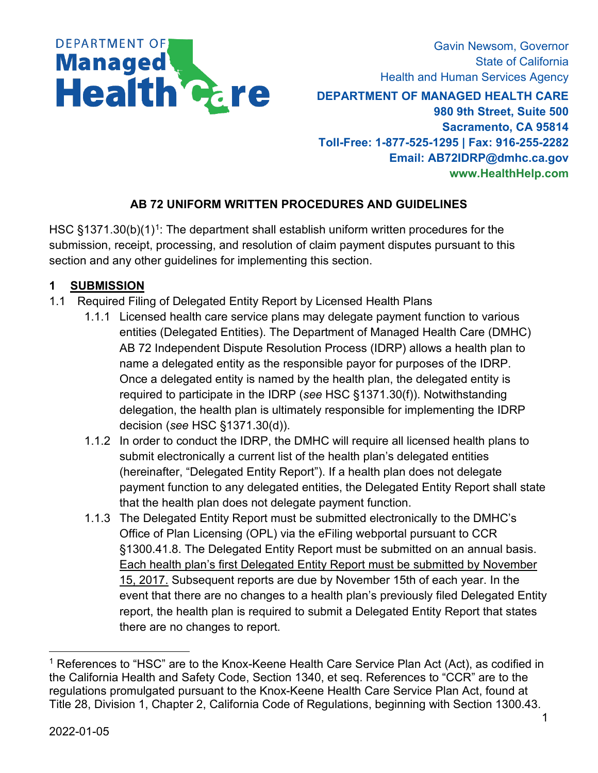

Gavin Newsom, Governor State of California Health and Human Services Agency

**DEPARTMENT OF MANAGED HEALTH CARE 980 9th Street, Suite 500 Sacramento, CA 95814 Toll-Free: 1-877-525-1295 | Fax: 916-255-2282 Email: [AB72IDRP@dmhc.ca.gov](mailto:pcu@dmhc.ca.gov) [www.HealthHelp.com](http://dmhc.ca.gov/FileaComplaint/ProviderComplaintAgainstaPlan.aspx)**

### **AB 72 UNIFORM WRITTEN PROCEDURES AND GUIDELINES**

HSC  $\S$ [1](#page-0-0)371.30(b)(1)<sup>1</sup>: The department shall establish uniform written procedures for the submission, receipt, processing, and resolution of claim payment disputes pursuant to this section and any other guidelines for implementing this section.

## **1 SUBMISSION**

- 1.1 Required Filing of Delegated Entity Report by Licensed Health Plans
	- 1.1.1 Licensed health care service plans may delegate payment function to various entities (Delegated Entities). The Department of Managed Health Care (DMHC) AB 72 Independent Dispute Resolution Process (IDRP) allows a health plan to name a delegated entity as the responsible payor for purposes of the IDRP. Once a delegated entity is named by the health plan, the delegated entity is required to participate in the IDRP (*see* HSC §1371.30(f)). Notwithstanding delegation, the health plan is ultimately responsible for implementing the IDRP decision (*see* HSC §1371.30(d)).
	- 1.1.2 In order to conduct the IDRP, the DMHC will require all licensed health plans to submit electronically a current list of the health plan's delegated entities (hereinafter, "Delegated Entity Report"). If a health plan does not delegate payment function to any delegated entities, the Delegated Entity Report shall state that the health plan does not delegate payment function.
	- 1.1.3 The Delegated Entity Report must be submitted electronically to the DMHC's Office of Plan Licensing (OPL) via the eFiling webportal pursuant to CCR §1300.41.8. The Delegated Entity Report must be submitted on an annual basis. Each health plan's first Delegated Entity Report must be submitted by November 15, 2017. Subsequent reports are due by November 15th of each year. In the event that there are no changes to a health plan's previously filed Delegated Entity report, the health plan is required to submit a Delegated Entity Report that states there are no changes to report.

<span id="page-0-0"></span><sup>&</sup>lt;sup>1</sup> References to "HSC" are to the Knox-Keene Health Care Service Plan Act (Act), as codified in the California Health and Safety Code, Section 1340, et seq. References to "CCR" are to the regulations promulgated pursuant to the Knox-Keene Health Care Service Plan Act, found at Title 28, Division 1, Chapter 2, California Code of Regulations, beginning with Section 1300.43.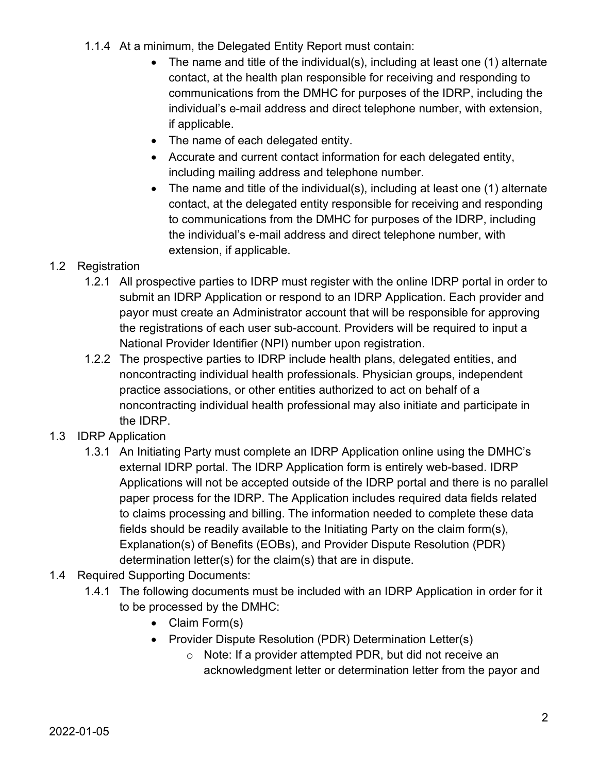- 1.1.4 At a minimum, the Delegated Entity Report must contain:
	- The name and title of the individual(s), including at least one (1) alternate contact, at the health plan responsible for receiving and responding to communications from the DMHC for purposes of the IDRP, including the individual's e-mail address and direct telephone number, with extension, if applicable.
	- The name of each delegated entity.
	- Accurate and current contact information for each delegated entity, including mailing address and telephone number.
	- The name and title of the individual(s), including at least one (1) alternate contact, at the delegated entity responsible for receiving and responding to communications from the DMHC for purposes of the IDRP, including the individual's e-mail address and direct telephone number, with extension, if applicable.
- 1.2 Registration
	- 1.2.1 All prospective parties to IDRP must register with the online IDRP portal in order to submit an IDRP Application or respond to an IDRP Application. Each provider and payor must create an Administrator account that will be responsible for approving the registrations of each user sub-account. Providers will be required to input a National Provider Identifier (NPI) number upon registration.
	- 1.2.2 The prospective parties to IDRP include health plans, delegated entities, and noncontracting individual health professionals. Physician groups, independent practice associations, or other entities authorized to act on behalf of a noncontracting individual health professional may also initiate and participate in the IDRP.
- 1.3 IDRP Application
	- 1.3.1 An Initiating Party must complete an IDRP Application online using the DMHC's external IDRP portal. The IDRP Application form is entirely web-based. IDRP Applications will not be accepted outside of the IDRP portal and there is no parallel paper process for the IDRP. The Application includes required data fields related to claims processing and billing. The information needed to complete these data fields should be readily available to the Initiating Party on the claim form(s), Explanation(s) of Benefits (EOBs), and Provider Dispute Resolution (PDR) determination letter(s) for the claim(s) that are in dispute.
- 1.4 Required Supporting Documents:
	- 1.4.1 The following documents must be included with an IDRP Application in order for it to be processed by the DMHC:
		- Claim Form(s)
		- Provider Dispute Resolution (PDR) Determination Letter(s)
			- o Note: If a provider attempted PDR, but did not receive an acknowledgment letter or determination letter from the payor and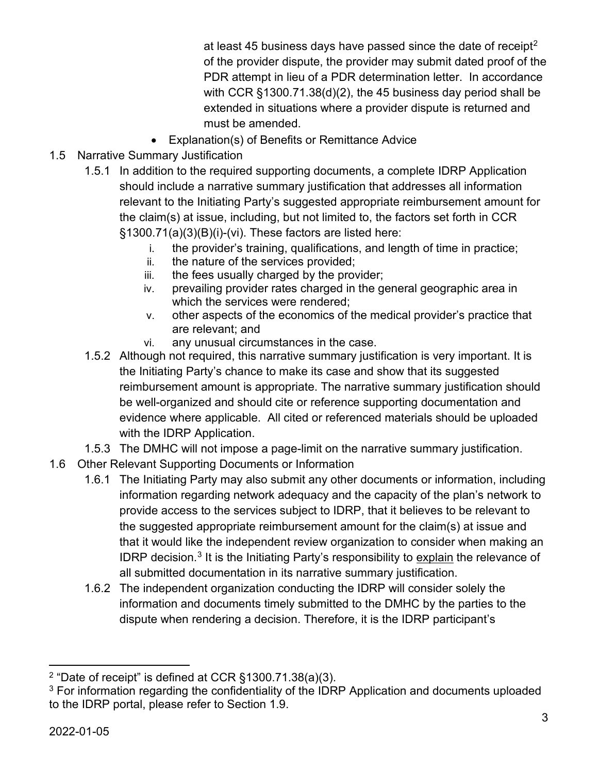at least 45 business days have passed since the date of receipt<sup>[2](#page-2-0)</sup> of the provider dispute, the provider may submit dated proof of the PDR attempt in lieu of a PDR determination letter. In accordance with CCR §1300.71.38(d)(2), the 45 business day period shall be extended in situations where a provider dispute is returned and must be amended.

- Explanation(s) of Benefits or Remittance Advice
- 1.5 Narrative Summary Justification
	- 1.5.1 In addition to the required supporting documents, a complete IDRP Application should include a narrative summary justification that addresses all information relevant to the Initiating Party's suggested appropriate reimbursement amount for the claim(s) at issue, including, but not limited to, the factors set forth in CCR §1300.71(a)(3)(B)(i)-(vi). These factors are listed here:
		- i. the provider's training, qualifications, and length of time in practice;
		- ii. the nature of the services provided;
		- iii. the fees usually charged by the provider;
		- iv. prevailing provider rates charged in the general geographic area in which the services were rendered;
		- v. other aspects of the economics of the medical provider's practice that are relevant; and
		- vi. any unusual circumstances in the case.
	- 1.5.2 Although not required, this narrative summary justification is very important. It is the Initiating Party's chance to make its case and show that its suggested reimbursement amount is appropriate. The narrative summary justification should be well-organized and should cite or reference supporting documentation and evidence where applicable. All cited or referenced materials should be uploaded with the IDRP Application.
	- 1.5.3 The DMHC will not impose a page-limit on the narrative summary justification.
- 1.6 Other Relevant Supporting Documents or Information
	- 1.6.1 The Initiating Party may also submit any other documents or information, including information regarding network adequacy and the capacity of the plan's network to provide access to the services subject to IDRP, that it believes to be relevant to the suggested appropriate reimbursement amount for the claim(s) at issue and that it would like the independent review organization to consider when making an IDRP decision.<sup>[3](#page-2-1)</sup> It is the Initiating Party's responsibility to explain the relevance of all submitted documentation in its narrative summary justification.
	- 1.6.2 The independent organization conducting the IDRP will consider solely the information and documents timely submitted to the DMHC by the parties to the dispute when rendering a decision. Therefore, it is the IDRP participant's

<span id="page-2-0"></span><sup>2</sup> "Date of receipt" is defined at CCR §1300.71.38(a)(3).

<span id="page-2-1"></span> $3$  For information regarding the confidentiality of the IDRP Application and documents uploaded to the IDRP portal, please refer to Section 1.9.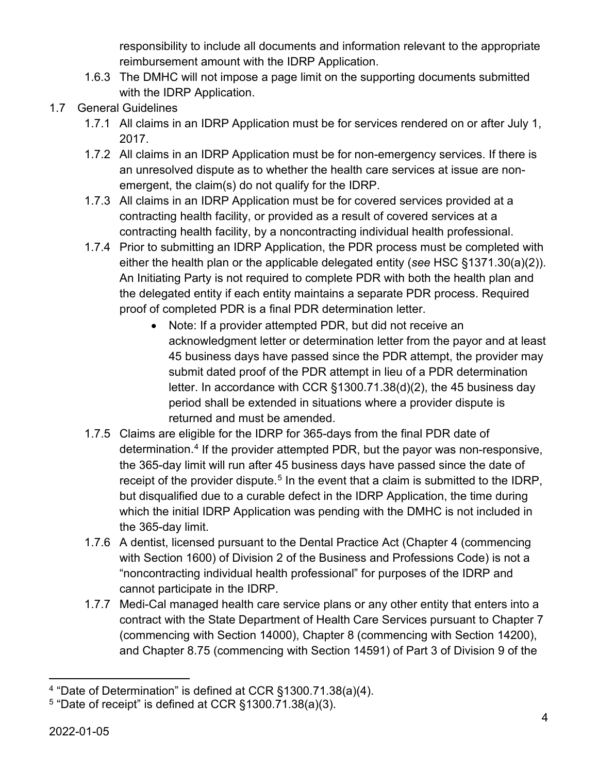responsibility to include all documents and information relevant to the appropriate reimbursement amount with the IDRP Application.

- 1.6.3 The DMHC will not impose a page limit on the supporting documents submitted with the IDRP Application.
- 1.7 General Guidelines
	- 1.7.1 All claims in an IDRP Application must be for services rendered on or after July 1, 2017.
	- 1.7.2 All claims in an IDRP Application must be for non-emergency services. If there is an unresolved dispute as to whether the health care services at issue are nonemergent, the claim(s) do not qualify for the IDRP.
	- 1.7.3 All claims in an IDRP Application must be for covered services provided at a contracting health facility, or provided as a result of covered services at a contracting health facility, by a noncontracting individual health professional.
	- 1.7.4 Prior to submitting an IDRP Application, the PDR process must be completed with either the health plan or the applicable delegated entity (*see* HSC §1371.30(a)(2)). An Initiating Party is not required to complete PDR with both the health plan and the delegated entity if each entity maintains a separate PDR process. Required proof of completed PDR is a final PDR determination letter.
		- Note: If a provider attempted PDR, but did not receive an acknowledgment letter or determination letter from the payor and at least 45 business days have passed since the PDR attempt, the provider may submit dated proof of the PDR attempt in lieu of a PDR determination letter. In accordance with CCR §1300.71.38(d)(2), the 45 business day period shall be extended in situations where a provider dispute is returned and must be amended.
	- 1.7.5 Claims are eligible for the IDRP for 365-days from the final PDR date of determination.[4](#page-3-0) If the provider attempted PDR, but the payor was non-responsive, the 365-day limit will run after 45 business days have passed since the date of receipt of the provider dispute.<sup>[5](#page-3-1)</sup> In the event that a claim is submitted to the IDRP, but disqualified due to a curable defect in the IDRP Application, the time during which the initial IDRP Application was pending with the DMHC is not included in the 365-day limit.
	- 1.7.6 A dentist, licensed pursuant to the Dental Practice Act (Chapter 4 (commencing with Section 1600) of Division 2 of the Business and Professions Code) is not a "noncontracting individual health professional" for purposes of the IDRP and cannot participate in the IDRP.
	- 1.7.7 Medi-Cal managed health care service plans or any other entity that enters into a contract with the State Department of Health Care Services pursuant to Chapter 7 (commencing with Section 14000), Chapter 8 (commencing with Section 14200), and Chapter 8.75 (commencing with Section 14591) of Part 3 of Division 9 of the

<span id="page-3-0"></span><sup>4</sup> "Date of Determination" is defined at CCR §1300.71.38(a)(4).

<span id="page-3-1"></span> $5$  "Date of receipt" is defined at CCR  $\S$ 1300.71.38(a)(3).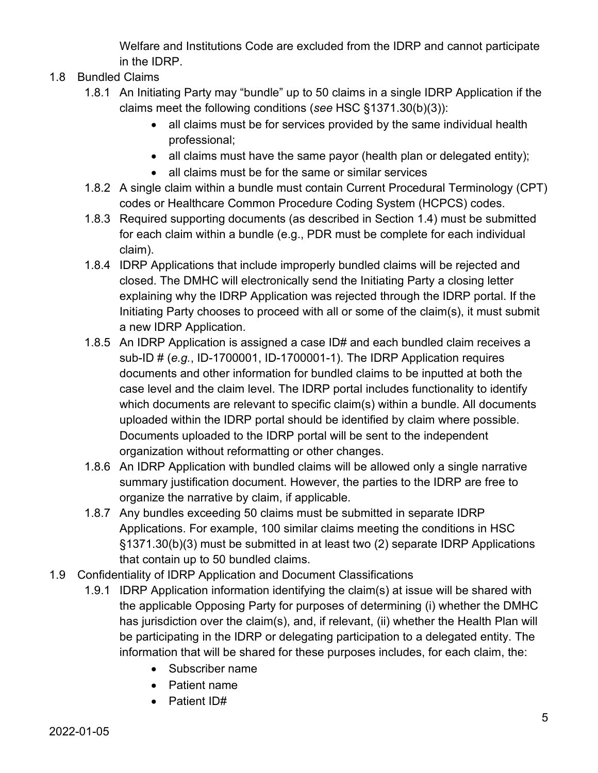Welfare and Institutions Code are excluded from the IDRP and cannot participate in the IDRP.

- 1.8 Bundled Claims
	- 1.8.1 An Initiating Party may "bundle" up to 50 claims in a single IDRP Application if the claims meet the following conditions (*see* HSC §1371.30(b)(3)):
		- all claims must be for services provided by the same individual health professional;
		- all claims must have the same payor (health plan or delegated entity);
		- all claims must be for the same or similar services
	- 1.8.2 A single claim within a bundle must contain Current Procedural Terminology (CPT) codes or Healthcare Common Procedure Coding System (HCPCS) codes.
	- 1.8.3 Required supporting documents (as described in Section 1.4) must be submitted for each claim within a bundle (e.g., PDR must be complete for each individual claim).
	- 1.8.4 IDRP Applications that include improperly bundled claims will be rejected and closed. The DMHC will electronically send the Initiating Party a closing letter explaining why the IDRP Application was rejected through the IDRP portal. If the Initiating Party chooses to proceed with all or some of the claim(s), it must submit a new IDRP Application.
	- 1.8.5 An IDRP Application is assigned a case ID# and each bundled claim receives a sub-ID # (*e.g.*, ID-1700001, ID-1700001-1). The IDRP Application requires documents and other information for bundled claims to be inputted at both the case level and the claim level. The IDRP portal includes functionality to identify which documents are relevant to specific claim(s) within a bundle. All documents uploaded within the IDRP portal should be identified by claim where possible. Documents uploaded to the IDRP portal will be sent to the independent organization without reformatting or other changes.
	- 1.8.6 An IDRP Application with bundled claims will be allowed only a single narrative summary justification document. However, the parties to the IDRP are free to organize the narrative by claim, if applicable.
	- 1.8.7 Any bundles exceeding 50 claims must be submitted in separate IDRP Applications. For example, 100 similar claims meeting the conditions in HSC §1371.30(b)(3) must be submitted in at least two (2) separate IDRP Applications that contain up to 50 bundled claims.
- 1.9 Confidentiality of IDRP Application and Document Classifications
	- 1.9.1 IDRP Application information identifying the claim(s) at issue will be shared with the applicable Opposing Party for purposes of determining (i) whether the DMHC has jurisdiction over the claim(s), and, if relevant, (ii) whether the Health Plan will be participating in the IDRP or delegating participation to a delegated entity. The information that will be shared for these purposes includes, for each claim, the:
		- Subscriber name
		- Patient name
		- Patient ID#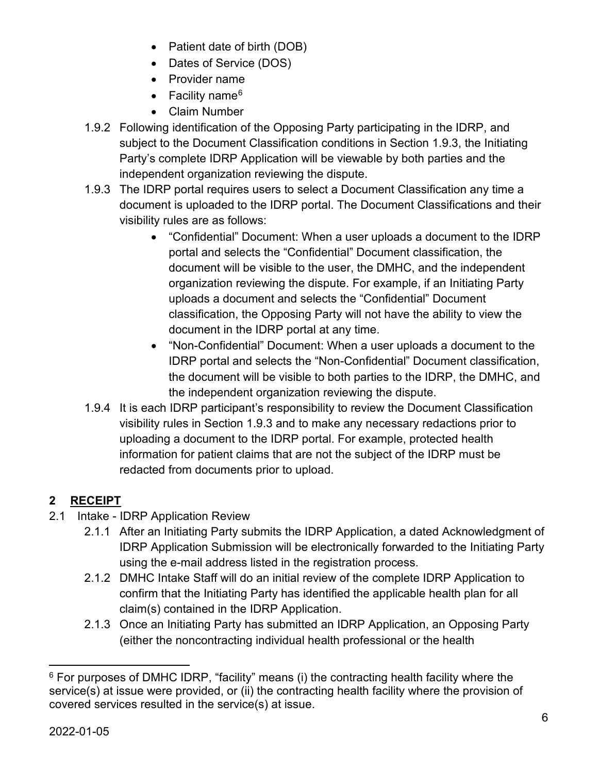- Patient date of birth (DOB)
- Dates of Service (DOS)
- Provider name
- Facility name<sup>[6](#page-5-0)</sup>
- Claim Number
- 1.9.2 Following identification of the Opposing Party participating in the IDRP, and subject to the Document Classification conditions in Section 1.9.3, the Initiating Party's complete IDRP Application will be viewable by both parties and the independent organization reviewing the dispute.
- 1.9.3 The IDRP portal requires users to select a Document Classification any time a document is uploaded to the IDRP portal. The Document Classifications and their visibility rules are as follows:
	- "Confidential" Document: When a user uploads a document to the IDRP portal and selects the "Confidential" Document classification, the document will be visible to the user, the DMHC, and the independent organization reviewing the dispute. For example, if an Initiating Party uploads a document and selects the "Confidential" Document classification, the Opposing Party will not have the ability to view the document in the IDRP portal at any time.
	- "Non-Confidential" Document: When a user uploads a document to the IDRP portal and selects the "Non-Confidential" Document classification, the document will be visible to both parties to the IDRP, the DMHC, and the independent organization reviewing the dispute.
- 1.9.4 It is each IDRP participant's responsibility to review the Document Classification visibility rules in Section 1.9.3 and to make any necessary redactions prior to uploading a document to the IDRP portal. For example, protected health information for patient claims that are not the subject of the IDRP must be redacted from documents prior to upload.

# **2 RECEIPT**

- 2.1 Intake IDRP Application Review
	- 2.1.1 After an Initiating Party submits the IDRP Application, a dated Acknowledgment of IDRP Application Submission will be electronically forwarded to the Initiating Party using the e-mail address listed in the registration process.
	- 2.1.2 DMHC Intake Staff will do an initial review of the complete IDRP Application to confirm that the Initiating Party has identified the applicable health plan for all claim(s) contained in the IDRP Application.
	- 2.1.3 Once an Initiating Party has submitted an IDRP Application, an Opposing Party (either the noncontracting individual health professional or the health

<span id="page-5-0"></span> $6$  For purposes of DMHC IDRP, "facility" means (i) the contracting health facility where the service(s) at issue were provided, or (ii) the contracting health facility where the provision of covered services resulted in the service(s) at issue.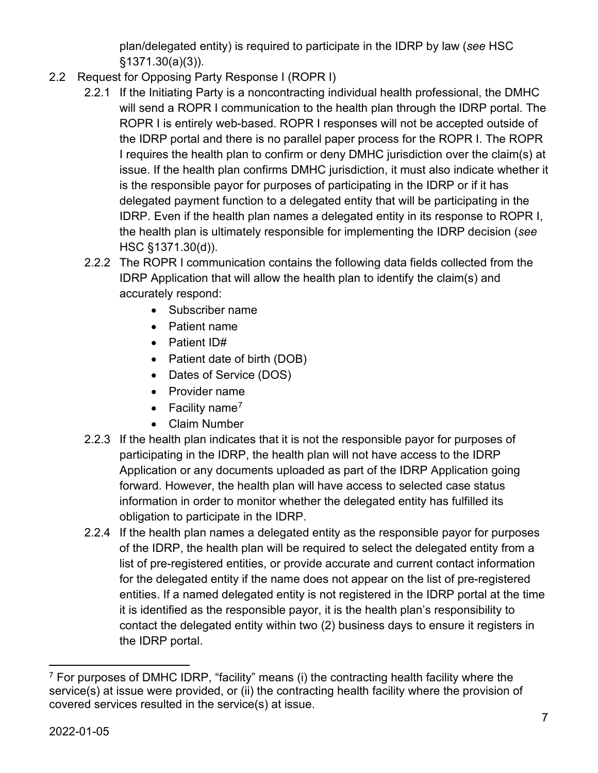plan/delegated entity) is required to participate in the IDRP by law (*see* HSC §1371.30(a)(3)).

- 2.2 Request for Opposing Party Response I (ROPR I)
	- 2.2.1 If the Initiating Party is a noncontracting individual health professional, the DMHC will send a ROPR I communication to the health plan through the IDRP portal. The ROPR I is entirely web-based. ROPR I responses will not be accepted outside of the IDRP portal and there is no parallel paper process for the ROPR I. The ROPR I requires the health plan to confirm or deny DMHC jurisdiction over the claim(s) at issue. If the health plan confirms DMHC jurisdiction, it must also indicate whether it is the responsible payor for purposes of participating in the IDRP or if it has delegated payment function to a delegated entity that will be participating in the IDRP. Even if the health plan names a delegated entity in its response to ROPR I, the health plan is ultimately responsible for implementing the IDRP decision (*see* HSC §1371.30(d)).
	- 2.2.2 The ROPR I communication contains the following data fields collected from the IDRP Application that will allow the health plan to identify the claim(s) and accurately respond:
		- Subscriber name
		- Patient name
		- Patient ID#
		- Patient date of birth (DOB)
		- Dates of Service (DOS)
		- Provider name
		- Facility name<sup>[7](#page-6-0)</sup>
		- Claim Number
	- 2.2.3 If the health plan indicates that it is not the responsible payor for purposes of participating in the IDRP, the health plan will not have access to the IDRP Application or any documents uploaded as part of the IDRP Application going forward. However, the health plan will have access to selected case status information in order to monitor whether the delegated entity has fulfilled its obligation to participate in the IDRP.
	- 2.2.4 If the health plan names a delegated entity as the responsible payor for purposes of the IDRP, the health plan will be required to select the delegated entity from a list of pre-registered entities, or provide accurate and current contact information for the delegated entity if the name does not appear on the list of pre-registered entities. If a named delegated entity is not registered in the IDRP portal at the time it is identified as the responsible payor, it is the health plan's responsibility to contact the delegated entity within two (2) business days to ensure it registers in the IDRP portal.

<span id="page-6-0"></span> $7$  For purposes of DMHC IDRP, "facility" means (i) the contracting health facility where the service(s) at issue were provided, or (ii) the contracting health facility where the provision of covered services resulted in the service(s) at issue.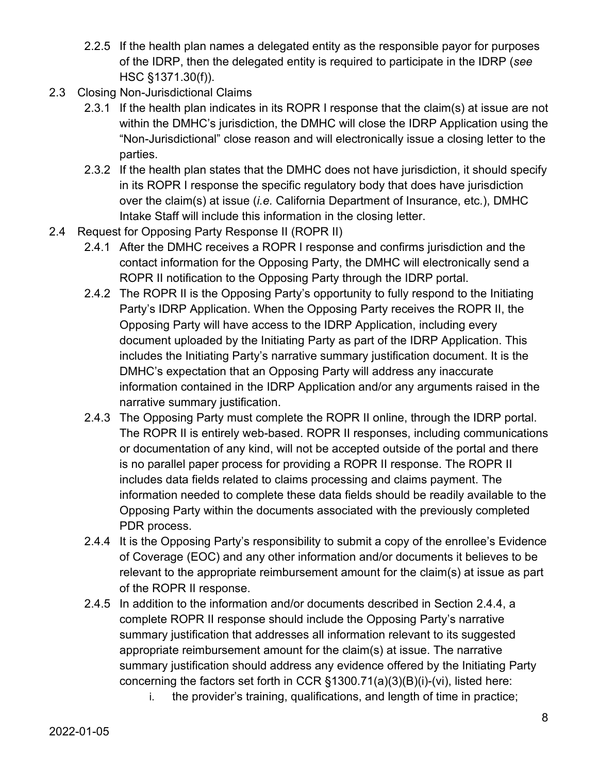- 2.2.5 If the health plan names a delegated entity as the responsible payor for purposes of the IDRP, then the delegated entity is required to participate in the IDRP (*see* HSC §1371.30(f)).
- 2.3 Closing Non-Jurisdictional Claims
	- 2.3.1 If the health plan indicates in its ROPR I response that the claim(s) at issue are not within the DMHC's jurisdiction, the DMHC will close the IDRP Application using the "Non-Jurisdictional" close reason and will electronically issue a closing letter to the parties.
	- 2.3.2 If the health plan states that the DMHC does not have jurisdiction, it should specify in its ROPR I response the specific regulatory body that does have jurisdiction over the claim(s) at issue (*i.e.* California Department of Insurance, etc.), DMHC Intake Staff will include this information in the closing letter.
- 2.4 Request for Opposing Party Response II (ROPR II)
	- 2.4.1 After the DMHC receives a ROPR I response and confirms jurisdiction and the contact information for the Opposing Party, the DMHC will electronically send a ROPR II notification to the Opposing Party through the IDRP portal.
	- 2.4.2 The ROPR II is the Opposing Party's opportunity to fully respond to the Initiating Party's IDRP Application. When the Opposing Party receives the ROPR II, the Opposing Party will have access to the IDRP Application, including every document uploaded by the Initiating Party as part of the IDRP Application. This includes the Initiating Party's narrative summary justification document. It is the DMHC's expectation that an Opposing Party will address any inaccurate information contained in the IDRP Application and/or any arguments raised in the narrative summary justification.
	- 2.4.3 The Opposing Party must complete the ROPR II online, through the IDRP portal. The ROPR II is entirely web-based. ROPR II responses, including communications or documentation of any kind, will not be accepted outside of the portal and there is no parallel paper process for providing a ROPR II response. The ROPR II includes data fields related to claims processing and claims payment. The information needed to complete these data fields should be readily available to the Opposing Party within the documents associated with the previously completed PDR process.
	- 2.4.4 It is the Opposing Party's responsibility to submit a copy of the enrollee's Evidence of Coverage (EOC) and any other information and/or documents it believes to be relevant to the appropriate reimbursement amount for the claim(s) at issue as part of the ROPR II response.
	- 2.4.5 In addition to the information and/or documents described in Section 2.4.4, a complete ROPR II response should include the Opposing Party's narrative summary justification that addresses all information relevant to its suggested appropriate reimbursement amount for the claim(s) at issue. The narrative summary justification should address any evidence offered by the Initiating Party concerning the factors set forth in CCR §1300.71(a)(3)(B)(i)-(vi), listed here:
		- i. the provider's training, qualifications, and length of time in practice;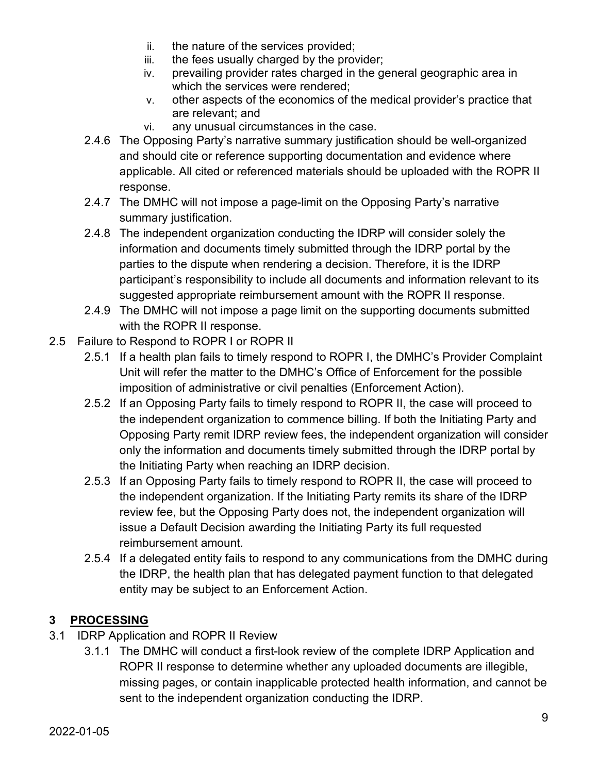- ii. the nature of the services provided;
- iii. the fees usually charged by the provider;
- iv. prevailing provider rates charged in the general geographic area in which the services were rendered;
- v. other aspects of the economics of the medical provider's practice that are relevant; and
- vi. any unusual circumstances in the case.
- 2.4.6 The Opposing Party's narrative summary justification should be well-organized and should cite or reference supporting documentation and evidence where applicable. All cited or referenced materials should be uploaded with the ROPR II response.
- 2.4.7 The DMHC will not impose a page-limit on the Opposing Party's narrative summary justification.
- 2.4.8 The independent organization conducting the IDRP will consider solely the information and documents timely submitted through the IDRP portal by the parties to the dispute when rendering a decision. Therefore, it is the IDRP participant's responsibility to include all documents and information relevant to its suggested appropriate reimbursement amount with the ROPR II response.
- 2.4.9 The DMHC will not impose a page limit on the supporting documents submitted with the ROPR II response.
- 2.5 Failure to Respond to ROPR I or ROPR II
	- 2.5.1 If a health plan fails to timely respond to ROPR I, the DMHC's Provider Complaint Unit will refer the matter to the DMHC's Office of Enforcement for the possible imposition of administrative or civil penalties (Enforcement Action).
	- 2.5.2 If an Opposing Party fails to timely respond to ROPR II, the case will proceed to the independent organization to commence billing. If both the Initiating Party and Opposing Party remit IDRP review fees, the independent organization will consider only the information and documents timely submitted through the IDRP portal by the Initiating Party when reaching an IDRP decision.
	- 2.5.3 If an Opposing Party fails to timely respond to ROPR II, the case will proceed to the independent organization. If the Initiating Party remits its share of the IDRP review fee, but the Opposing Party does not, the independent organization will issue a Default Decision awarding the Initiating Party its full requested reimbursement amount.
	- 2.5.4 If a delegated entity fails to respond to any communications from the DMHC during the IDRP, the health plan that has delegated payment function to that delegated entity may be subject to an Enforcement Action.

# **3 PROCESSING**

- 3.1 IDRP Application and ROPR II Review
	- 3.1.1 The DMHC will conduct a first-look review of the complete IDRP Application and ROPR II response to determine whether any uploaded documents are illegible, missing pages, or contain inapplicable protected health information, and cannot be sent to the independent organization conducting the IDRP.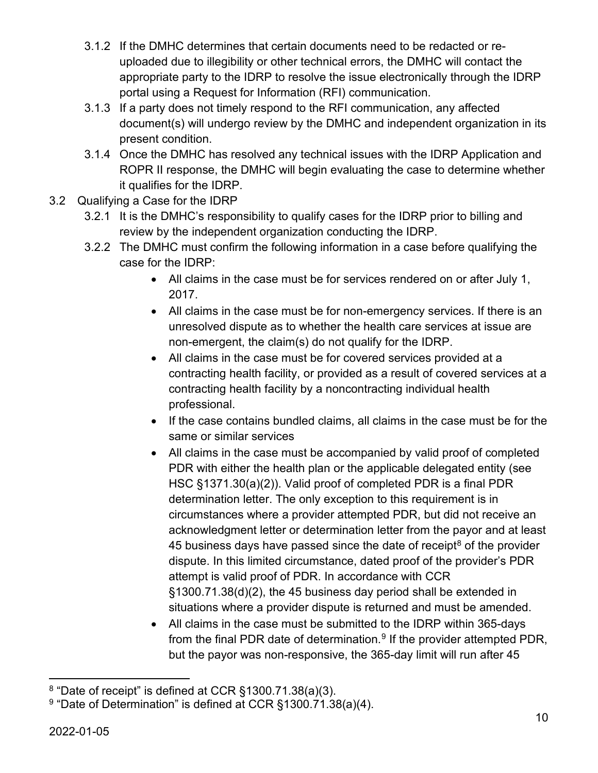- 3.1.2 If the DMHC determines that certain documents need to be redacted or reuploaded due to illegibility or other technical errors, the DMHC will contact the appropriate party to the IDRP to resolve the issue electronically through the IDRP portal using a Request for Information (RFI) communication.
- 3.1.3 If a party does not timely respond to the RFI communication, any affected document(s) will undergo review by the DMHC and independent organization in its present condition.
- 3.1.4 Once the DMHC has resolved any technical issues with the IDRP Application and ROPR II response, the DMHC will begin evaluating the case to determine whether it qualifies for the IDRP.
- 3.2 Qualifying a Case for the IDRP
	- 3.2.1 It is the DMHC's responsibility to qualify cases for the IDRP prior to billing and review by the independent organization conducting the IDRP.
	- 3.2.2 The DMHC must confirm the following information in a case before qualifying the case for the IDRP:
		- All claims in the case must be for services rendered on or after July 1, 2017.
		- All claims in the case must be for non-emergency services. If there is an unresolved dispute as to whether the health care services at issue are non-emergent, the claim(s) do not qualify for the IDRP.
		- All claims in the case must be for covered services provided at a contracting health facility, or provided as a result of covered services at a contracting health facility by a noncontracting individual health professional.
		- If the case contains bundled claims, all claims in the case must be for the same or similar services
		- All claims in the case must be accompanied by valid proof of completed PDR with either the health plan or the applicable delegated entity (see HSC §1371.30(a)(2)). Valid proof of completed PDR is a final PDR determination letter. The only exception to this requirement is in circumstances where a provider attempted PDR, but did not receive an acknowledgment letter or determination letter from the payor and at least 45 business days have passed since the date of receipt<sup>[8](#page-9-0)</sup> of the provider dispute. In this limited circumstance, dated proof of the provider's PDR attempt is valid proof of PDR. In accordance with CCR §1300.71.38(d)(2), the 45 business day period shall be extended in situations where a provider dispute is returned and must be amended.
		- All claims in the case must be submitted to the IDRP within 365-days from the final PDR date of determination.<sup>[9](#page-9-1)</sup> If the provider attempted PDR, but the payor was non-responsive, the 365-day limit will run after 45

<span id="page-9-0"></span> $8$  "Date of receipt" is defined at CCR  $$1300.71.38(a)(3)$ .

<span id="page-9-1"></span> $9$  "Date of Determination" is defined at CCR  $\S$ 1300.71.38(a)(4).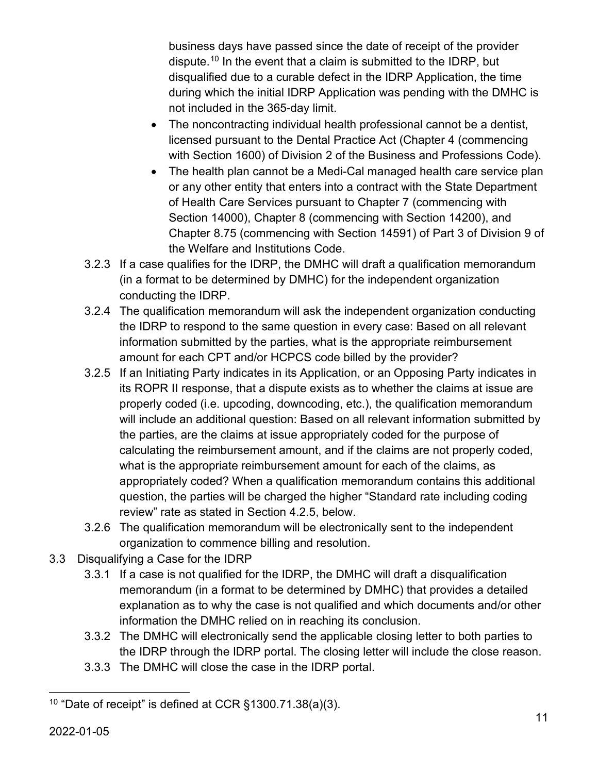business days have passed since the date of receipt of the provider dispute.[10](#page-10-0) In the event that a claim is submitted to the IDRP, but disqualified due to a curable defect in the IDRP Application, the time during which the initial IDRP Application was pending with the DMHC is not included in the 365-day limit.

- The noncontracting individual health professional cannot be a dentist, licensed pursuant to the Dental Practice Act (Chapter 4 (commencing with Section 1600) of Division 2 of the Business and Professions Code).
- The health plan cannot be a Medi-Cal managed health care service plan or any other entity that enters into a contract with the State Department of Health Care Services pursuant to Chapter 7 (commencing with Section 14000), Chapter 8 (commencing with Section 14200), and Chapter 8.75 (commencing with Section 14591) of Part 3 of Division 9 of the Welfare and Institutions Code.
- 3.2.3 If a case qualifies for the IDRP, the DMHC will draft a qualification memorandum (in a format to be determined by DMHC) for the independent organization conducting the IDRP.
- 3.2.4 The qualification memorandum will ask the independent organization conducting the IDRP to respond to the same question in every case: Based on all relevant information submitted by the parties, what is the appropriate reimbursement amount for each CPT and/or HCPCS code billed by the provider?
- 3.2.5 If an Initiating Party indicates in its Application, or an Opposing Party indicates in its ROPR II response, that a dispute exists as to whether the claims at issue are properly coded (i.e. upcoding, downcoding, etc.), the qualification memorandum will include an additional question: Based on all relevant information submitted by the parties, are the claims at issue appropriately coded for the purpose of calculating the reimbursement amount, and if the claims are not properly coded, what is the appropriate reimbursement amount for each of the claims, as appropriately coded? When a qualification memorandum contains this additional question, the parties will be charged the higher "Standard rate including coding review" rate as stated in Section 4.2.5, below.
- 3.2.6 The qualification memorandum will be electronically sent to the independent organization to commence billing and resolution.
- 3.3 Disqualifying a Case for the IDRP
	- 3.3.1 If a case is not qualified for the IDRP, the DMHC will draft a disqualification memorandum (in a format to be determined by DMHC) that provides a detailed explanation as to why the case is not qualified and which documents and/or other information the DMHC relied on in reaching its conclusion.
	- 3.3.2 The DMHC will electronically send the applicable closing letter to both parties to the IDRP through the IDRP portal. The closing letter will include the close reason.
	- 3.3.3 The DMHC will close the case in the IDRP portal.

<span id="page-10-0"></span><sup>&</sup>lt;sup>10</sup> "Date of receipt" is defined at CCR  $\S$ 1300.71.38(a)(3).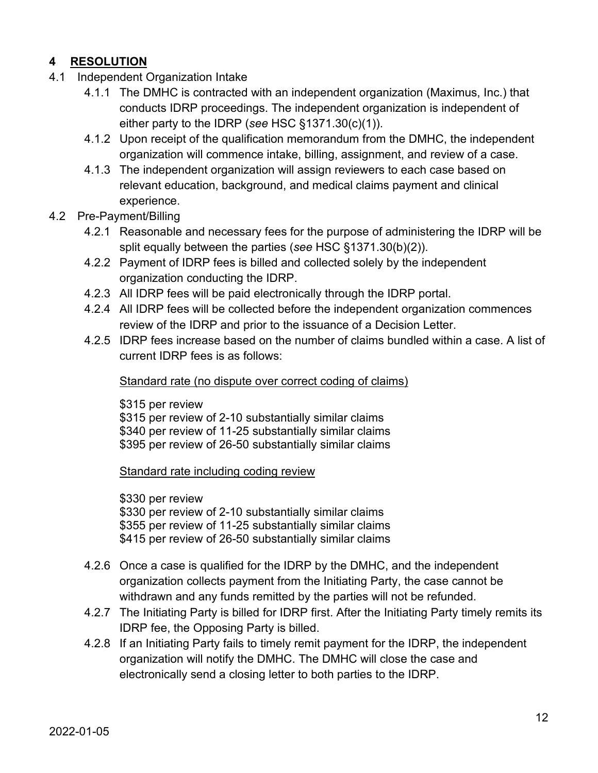## **4 RESOLUTION**

- 4.1 Independent Organization Intake
	- 4.1.1 The DMHC is contracted with an independent organization (Maximus, Inc.) that conducts IDRP proceedings. The independent organization is independent of either party to the IDRP (*see* HSC §1371.30(c)(1)).
	- 4.1.2 Upon receipt of the qualification memorandum from the DMHC, the independent organization will commence intake, billing, assignment, and review of a case.
	- 4.1.3 The independent organization will assign reviewers to each case based on relevant education, background, and medical claims payment and clinical experience.
- 4.2 Pre-Payment/Billing
	- 4.2.1 Reasonable and necessary fees for the purpose of administering the IDRP will be split equally between the parties (*see* HSC §1371.30(b)(2)).
	- 4.2.2 Payment of IDRP fees is billed and collected solely by the independent organization conducting the IDRP.
	- 4.2.3 All IDRP fees will be paid electronically through the IDRP portal.
	- 4.2.4 All IDRP fees will be collected before the independent organization commences review of the IDRP and prior to the issuance of a Decision Letter.
	- 4.2.5 IDRP fees increase based on the number of claims bundled within a case. A list of current IDRP fees is as follows:

### Standard rate (no dispute over correct coding of claims)

\$315 per review \$315 per review of 2-10 substantially similar claims \$340 per review of 11-25 substantially similar claims \$395 per review of 26-50 substantially similar claims

Standard rate including coding review

\$330 per review \$330 per review of 2-10 substantially similar claims \$355 per review of 11-25 substantially similar claims \$415 per review of 26-50 substantially similar claims

- 4.2.6 Once a case is qualified for the IDRP by the DMHC, and the independent organization collects payment from the Initiating Party, the case cannot be withdrawn and any funds remitted by the parties will not be refunded.
- 4.2.7 The Initiating Party is billed for IDRP first. After the Initiating Party timely remits its IDRP fee, the Opposing Party is billed.
- 4.2.8 If an Initiating Party fails to timely remit payment for the IDRP, the independent organization will notify the DMHC. The DMHC will close the case and electronically send a closing letter to both parties to the IDRP.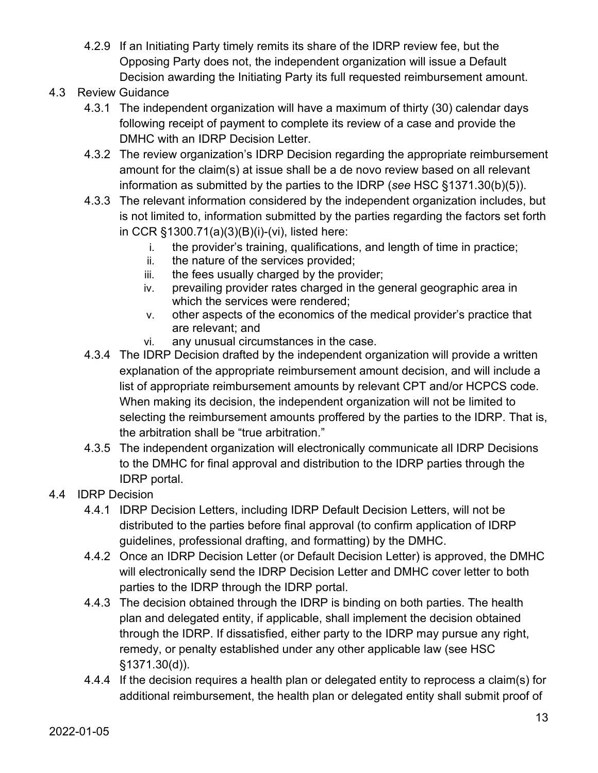- 4.2.9 If an Initiating Party timely remits its share of the IDRP review fee, but the Opposing Party does not, the independent organization will issue a Default Decision awarding the Initiating Party its full requested reimbursement amount.
- 4.3 Review Guidance
	- 4.3.1 The independent organization will have a maximum of thirty (30) calendar days following receipt of payment to complete its review of a case and provide the DMHC with an IDRP Decision Letter.
	- 4.3.2 The review organization's IDRP Decision regarding the appropriate reimbursement amount for the claim(s) at issue shall be a de novo review based on all relevant information as submitted by the parties to the IDRP (*see* HSC §1371.30(b)(5)).
	- 4.3.3 The relevant information considered by the independent organization includes, but is not limited to, information submitted by the parties regarding the factors set forth in CCR §1300.71(a)(3)(B)(i)-(vi), listed here:
		- i. the provider's training, qualifications, and length of time in practice;
		- ii. the nature of the services provided;
		- iii. the fees usually charged by the provider;
		- iv. prevailing provider rates charged in the general geographic area in which the services were rendered;
		- v. other aspects of the economics of the medical provider's practice that are relevant; and
		- vi. any unusual circumstances in the case.
	- 4.3.4 The IDRP Decision drafted by the independent organization will provide a written explanation of the appropriate reimbursement amount decision, and will include a list of appropriate reimbursement amounts by relevant CPT and/or HCPCS code. When making its decision, the independent organization will not be limited to selecting the reimbursement amounts proffered by the parties to the IDRP. That is, the arbitration shall be "true arbitration."
	- 4.3.5 The independent organization will electronically communicate all IDRP Decisions to the DMHC for final approval and distribution to the IDRP parties through the IDRP portal.
- 4.4 IDRP Decision
	- 4.4.1 IDRP Decision Letters, including IDRP Default Decision Letters, will not be distributed to the parties before final approval (to confirm application of IDRP guidelines, professional drafting, and formatting) by the DMHC.
	- 4.4.2 Once an IDRP Decision Letter (or Default Decision Letter) is approved, the DMHC will electronically send the IDRP Decision Letter and DMHC cover letter to both parties to the IDRP through the IDRP portal.
	- 4.4.3 The decision obtained through the IDRP is binding on both parties. The health plan and delegated entity, if applicable, shall implement the decision obtained through the IDRP. If dissatisfied, either party to the IDRP may pursue any right, remedy, or penalty established under any other applicable law (see HSC §1371.30(d)).
	- 4.4.4 If the decision requires a health plan or delegated entity to reprocess a claim(s) for additional reimbursement, the health plan or delegated entity shall submit proof of